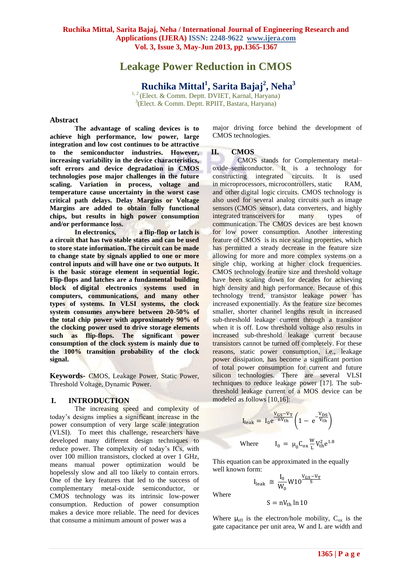# **Leakage Power Reduction in CMOS**

**Ruchika Mittal 1 , Sarita Bajaj<sup>2</sup> , Neha<sup>3</sup>** <sup>1, 2</sup> (Elect. & Comm. Deptt. DVIET, Karnal, Haryana)

3 (Elect. & Comm. Deptt. RPIIT, Bastara, Haryana)

#### **Abstract**

**The advantage of scaling devices is to achieve high performance, low power, large integration and low cost continues to be attractive to the semiconductor industries. However, increasing variability in the device characteristics, soft errors and device degradation in CMOS technologies pose major challenges in the future scaling. Variation in process, voltage and temperature cause uncertainty in the worst case critical path delays. Delay Margins or Voltage Margins are added to obtain fully functional chips, but results in high power consumption and/or performance loss.** 

**In electronics, a flip-flop or latch is a circuit that has two stable states and can be used to store state information. The circuit can be made to change state by signals applied to one or more control inputs and will have one or two outputs. It is the basic storage element in sequential logic. Flip-flops and latches are a fundamental building block of digital electronics systems used in computers, communications, and many other types of systems. In VLSI systems, the clock system consumes anywhere between 20-50% of the total chip power with approximately 90% of the clocking power used to drive storage elements such as flip-flops. The significant power consumption of the clock system is mainly due to the 100% transition probability of the clock signal.**

**Keywords-** CMOS, Leakage Power, Static Power, Threshold Voltage, Dynamic Power.

## **I. INTRODUCTION**

The increasing speed and complexity of today's designs implies a significant increase in the power consumption of very large scale integration (VLSI). To meet this challenge, researchers have developed many different design techniques to reduce power. The complexity of today's ICs, with over 100 million transistors, clocked at over 1 GHz, means manual power optimization would be hopelessly slow and all too likely to contain errors. One of the key features that led to the success of complementary metal-oxide semiconductor, or CMOS technology was its intrinsic low-power consumption. Reduction of power consumption makes a device more reliable. The need for devices that consume a minimum amount of power was a

major driving force behind the development of CMOS technologies.

# **II. CMOS**

CMOS stands for Complementary metal– oxide–semiconductor. It is a technology for constructing [integrated circuits.](http://en.wikipedia.org/wiki/Integrated_circuit) It is used in [microprocessors,](http://en.wikipedia.org/wiki/Microprocessor) [microcontrollers,](http://en.wikipedia.org/wiki/Microcontroller) [static RAM,](http://en.wikipedia.org/wiki/Static_Random_Access_Memory) and other [digital logic](http://en.wikipedia.org/wiki/Digital_logic) circuits. CMOS technology is also used for several analog circuits such as [image](http://en.wikipedia.org/wiki/Image_sensor)  [sensors](http://en.wikipedia.org/wiki/Image_sensor) [\(CMOS sensor\)](http://en.wikipedia.org/wiki/CMOS_sensor), [data converters,](http://en.wikipedia.org/wiki/Data_conversion) and highly integrated [transceivers](http://en.wikipedia.org/wiki/Transceiver) for many types of communication. The CMOS devices are best known for low power consumption. Another interesting feature of CMOS is its nice scaling properties, which has permitted a steady decrease in the feature size allowing for more and more complex systems on a single chip, working at higher clock frequencies. CMOS technology feature size and threshold voltage have been scaling down for decades for achieving high density and high performance. Because of this technology trend, transistor leakage power has increased exponentially. As the feature size becomes smaller, shorter channel lengths result in increased sub-threshold leakage current through a transistor when it is off. Low threshold voltage also results in increased sub-threshold leakage current because transistors cannot be turned off completely. For these reasons, static power consumption, i.e., leakage power dissipation, has become a significant portion of total power consumption for current and future silicon technologies. There are several VLSI techniques to reduce leakage power [17]. The subthreshold leakage current of a MOS device can be modeled as follows [10,16]:

$$
I_{leak} = I_0 e^{\frac{V_{GS} - V_T}{nV_{th}}} \left( 1 - e^{-\frac{V_{DS}}{V_{th}}} \right)
$$
  
Where 
$$
I_0 = \mu_0 C_{ox} \frac{W}{L} V_{th}^2 e^{1.8}
$$

This equation can be approximated in the equally well known form:

Where

 $I_{\text{leak}} \cong \frac{I}{I}$  $\frac{I_0}{W_0}$  W10 $\frac{V_{GS}}{S}$ 

$$
S = nV_{th} \ln 10
$$

Where  $\mu_{\text{eff}}$  is the electron/hole mobility,  $C_{ox}$  is the gate capacitance per unit area, W and L are width and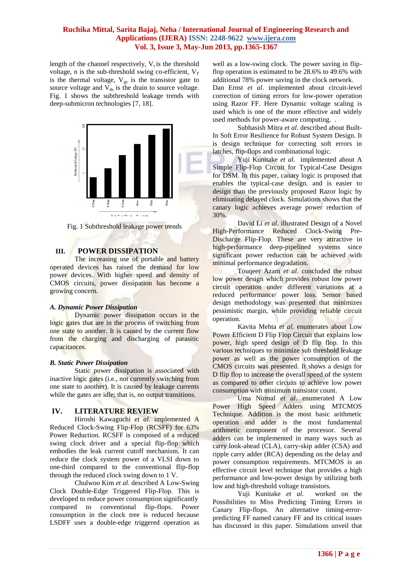## **Ruchika Mittal, Sarita Bajaj, Neha / International Journal of Engineering Research and Applications (IJERA) ISSN: 2248-9622 www.ijera.com Vol. 3, Issue 3, May-Jun 2013, pp.1365-1367**

length of the channel respectively,  $V_t$  is the threshold voltage, n is the sub-threshold swing co-efficient,  $V_T$ is the thermal voltage,  $V_{gs}$  is the transistor gate to source voltage and  $V_{ds}$  is the drain to source voltage. Fig. 1 shows the subthreshold leakage trends with deep-submicron technologies [7, 18].



Fig. 1 Subthreshold leakage power trends

## **III. POWER DISSIPATION**

The increasing use of portable and battery operated devices has raised the demand for low power devices. With higher speed and density of CMOS circuits, power dissipation has become a growing concern.

## *A. Dynamic Power Dissipation*

Dynamic power dissipation occurs in the logic gates that are in the process of switching from one state to another. It is caused by the current flow from the charging and discharging of parasitic capacitances.

#### *B. Static Power Dissipation*

Static power dissipation is associated with inactive logic gates (i.e., not currently switching from one state to another). It is caused by leakage currents while the gates are idle; that is, no output transitions.

## **IV. LITERATURE REVIEW**

Hiroshi Kawaguchi *et al.* implemented A Reduced Clock-Swing Flip-Flop (RCSFF) for 63% Power Reduction. RCSFF is composed of a reduced swing clock driver and a special flip-flop which embodies the leak current cutoff mechanism. It can reduce the clock system power of a VLSI down to one-third compared to the conventional flip-flop through the reduced clock swing down to 1 V.

Chulwoo Kim *et al.* described A Low-Swing Clock Double-Edge Triggered Flip-Flop. This is developed to reduce power consumption significantly compared to conventional flip-flops. Power consumption in the clock tree is reduced because LSDFF uses a double-edge triggered operation as

well as a low-swing clock. The power saving in flipflop operation is estimated to be 28.6% to 49.6% with additional 78% power saving in the clock network. Dan Ernst *et al*. implemented about circuit-level correction of timing errors for low-power operation using Razor FF. Here Dynamic voltage scaling is used which is one of the more effective and widely used methods for power-aware computing. .

Subhasish Mitra *et al.* described about Built-In Soft Error Resilience for Robust System Design. It is design technique for correcting soft errors in latches, flip-flops and combinational logic.

[Yuji](http://ieeexplore.ieee.org/search/searchresult.jsp?searchWithin=p_Authors:.QT.Kunitake,%20Yuji.QT.&newsearch=partialPref) Kunitake *et al*. implemented about A Simple Flip-Flop Circuit for Typical-Case Designs for DSM. In this paper, canary logic is proposed that enables the typical-case design. and is easier to design than the previously proposed Razor logic by eliminating delayed clock. Simulations shows that the canary logic achieves average power reduction of 30%.

David Li *et al*. illustrated Design of a Novel High-Performance Reduced Clock-Swing Pre-Discharge Flip-Flop. These are very attractive in high-performance deep-pipelined systems since significant power reduction can be achieved with minimal performance degradation.

Touqeer Azam *et al*. concluded the robust low power design which provides robust low power circuit operation under different variations at a reduced performance/ power loss. Sensor based design methodology was presented that minimizes pessimistic margin, while providing reliable circuit operation.

Kavita Mehta *et al.* enumerates about Low Power Efficient D Flip Flop Circuit that explains low power, high speed design of D flip flop. In this various techniques to minimize sub threshold leakage power as well as the power consumption of the CMOS circuits was presented. It shows a design for D flip flop to increase the overall speed of the system as compared to other circuits to achieve low power consumption with minimum transistor count.

Uma Nirmal *et al*. enumerated A Low Power High Speed Adders using MTCMOS Technique. Addition is the most basic arithmetic operation and adder is the most fundamental arithmetic component of the processor. Several adders can be implemented in many ways such as carry look-ahead (CLA), carry-skip adder (CSA) and ripple carry adder (RCA) depending on the delay and power consumption requirements. MTCMOS is an effective circuit level technique that provides a high performance and low-power design by utilizing both low and high-threshold voltage transistors.

Yuji Kunitake *et al*. worked on the Possibilities to Miss Predicting Timing Errors in Canary Flip-flops. An alternative timing-errorpredicting FF named canary FF and its critical issues has discussed in this paper. Simulations unveil that